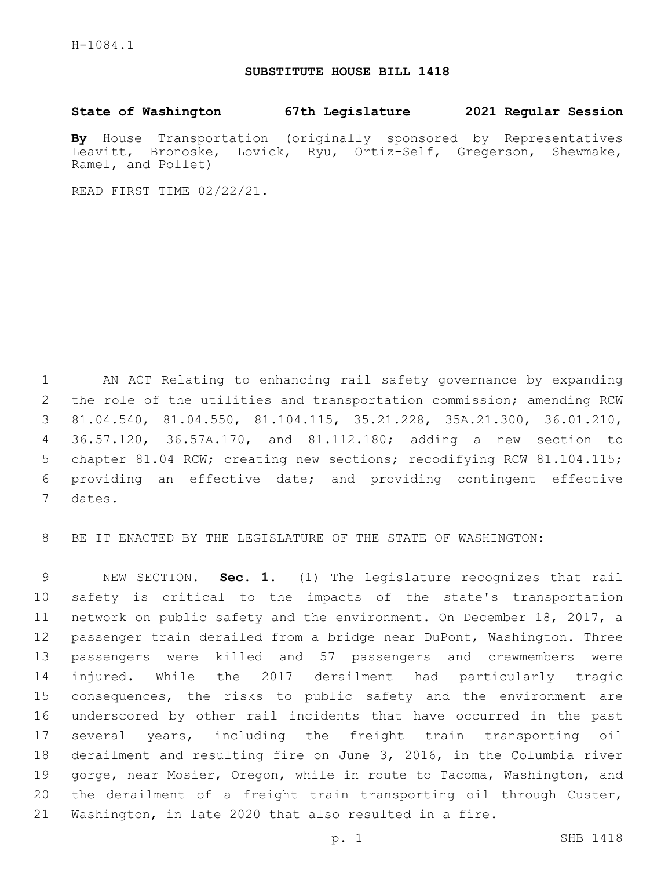H-1084.1

## **SUBSTITUTE HOUSE BILL 1418**

**State of Washington 67th Legislature 2021 Regular Session**

**By** House Transportation (originally sponsored by Representatives Leavitt, Bronoske, Lovick, Ryu, Ortiz-Self, Gregerson, Shewmake, Ramel, and Pollet)

READ FIRST TIME 02/22/21.

 AN ACT Relating to enhancing rail safety governance by expanding 2 the role of the utilities and transportation commission; amending RCW 81.04.540, 81.04.550, 81.104.115, 35.21.228, 35A.21.300, 36.01.210, 36.57.120, 36.57A.170, and 81.112.180; adding a new section to chapter 81.04 RCW; creating new sections; recodifying RCW 81.104.115; providing an effective date; and providing contingent effective 7 dates.

BE IT ENACTED BY THE LEGISLATURE OF THE STATE OF WASHINGTON:

 NEW SECTION. **Sec. 1.** (1) The legislature recognizes that rail safety is critical to the impacts of the state's transportation network on public safety and the environment. On December 18, 2017, a passenger train derailed from a bridge near DuPont, Washington. Three passengers were killed and 57 passengers and crewmembers were injured. While the 2017 derailment had particularly tragic consequences, the risks to public safety and the environment are underscored by other rail incidents that have occurred in the past several years, including the freight train transporting oil derailment and resulting fire on June 3, 2016, in the Columbia river gorge, near Mosier, Oregon, while in route to Tacoma, Washington, and the derailment of a freight train transporting oil through Custer, Washington, in late 2020 that also resulted in a fire.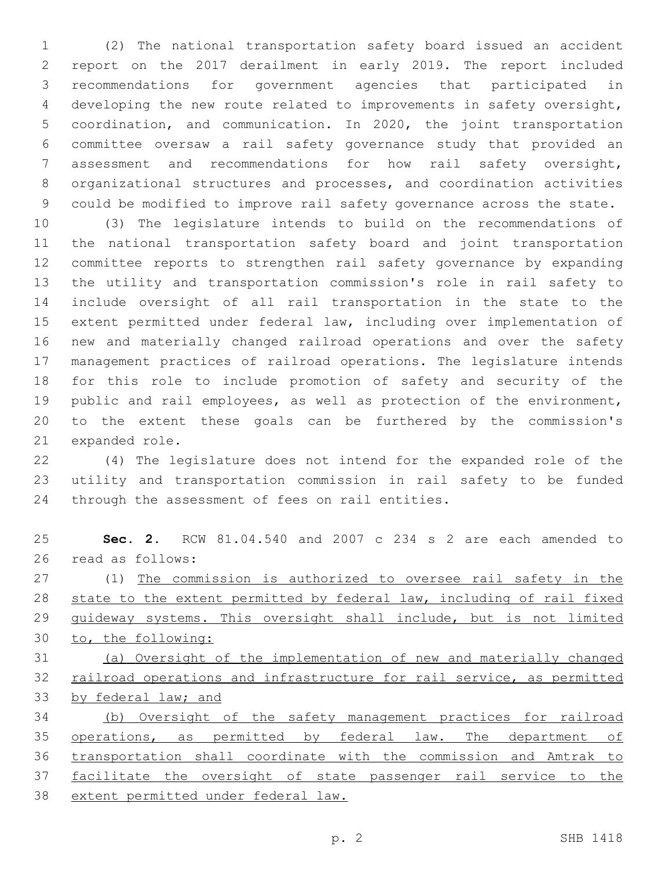(2) The national transportation safety board issued an accident report on the 2017 derailment in early 2019. The report included recommendations for government agencies that participated in developing the new route related to improvements in safety oversight, coordination, and communication. In 2020, the joint transportation committee oversaw a rail safety governance study that provided an assessment and recommendations for how rail safety oversight, organizational structures and processes, and coordination activities could be modified to improve rail safety governance across the state.

 (3) The legislature intends to build on the recommendations of the national transportation safety board and joint transportation committee reports to strengthen rail safety governance by expanding the utility and transportation commission's role in rail safety to include oversight of all rail transportation in the state to the extent permitted under federal law, including over implementation of new and materially changed railroad operations and over the safety management practices of railroad operations. The legislature intends for this role to include promotion of safety and security of the public and rail employees, as well as protection of the environment, to the extent these goals can be furthered by the commission's 21 expanded role.

 (4) The legislature does not intend for the expanded role of the utility and transportation commission in rail safety to be funded 24 through the assessment of fees on rail entities.

 **Sec. 2.** RCW 81.04.540 and 2007 c 234 s 2 are each amended to 26 read as follows:

 (1) The commission is authorized to oversee rail safety in the state to the extent permitted by federal law, including of rail fixed guideway systems. This oversight shall include, but is not limited to, the following:

 (a) Oversight of the implementation of new and materially changed 32 railroad operations and infrastructure for rail service, as permitted by federal law; and

 (b) Oversight of the safety management practices for railroad 35 operations, as permitted by federal law. The department of transportation shall coordinate with the commission and Amtrak to facilitate the oversight of state passenger rail service to the extent permitted under federal law.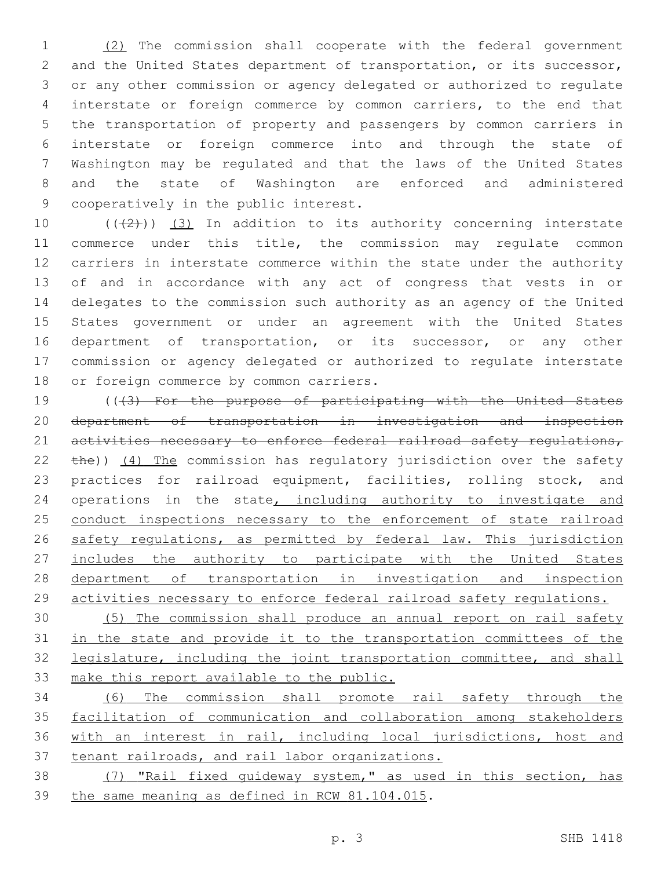(2) The commission shall cooperate with the federal government and the United States department of transportation, or its successor, or any other commission or agency delegated or authorized to regulate interstate or foreign commerce by common carriers, to the end that the transportation of property and passengers by common carriers in interstate or foreign commerce into and through the state of Washington may be regulated and that the laws of the United States and the state of Washington are enforced and administered 9 cooperatively in the public interest.

 $((+2+))$   $(3)$  In addition to its authority concerning interstate 11 commerce under this title, the commission may regulate common carriers in interstate commerce within the state under the authority of and in accordance with any act of congress that vests in or delegates to the commission such authority as an agency of the United States government or under an agreement with the United States department of transportation, or its successor, or any other commission or agency delegated or authorized to regulate interstate 18 or foreign commerce by common carriers.

19 (((3) For the purpose of participating with the United States department of transportation in investigation and inspection 21 activities necessary to enforce federal railroad safety regulations, 22 the)) (4) The commission has regulatory jurisdiction over the safety practices for railroad equipment, facilities, rolling stock, and 24 operations in the state, including authority to investigate and 25 conduct inspections necessary to the enforcement of state railroad 26 safety regulations, as permitted by federal law. This jurisdiction 27 includes the authority to participate with the United States department of transportation in investigation and inspection 29 activities necessary to enforce federal railroad safety requlations.

 (5) The commission shall produce an annual report on rail safety in the state and provide it to the transportation committees of the legislature, including the joint transportation committee, and shall make this report available to the public.

 (6) The commission shall promote rail safety through the facilitation of communication and collaboration among stakeholders with an interest in rail, including local jurisdictions, host and tenant railroads, and rail labor organizations.

 (7) "Rail fixed guideway system," as used in this section, has 39 the same meaning as defined in RCW 81.104.015.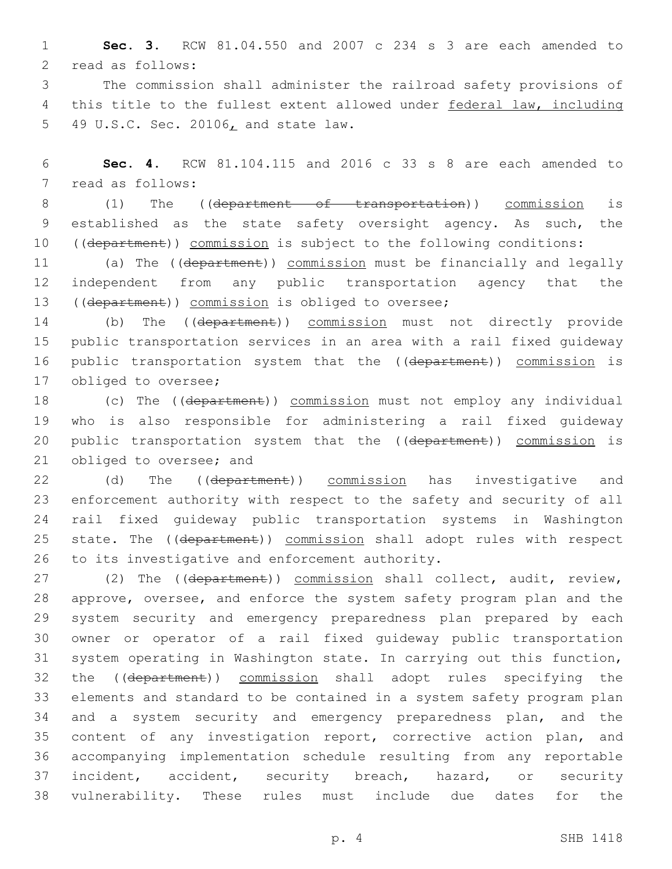1 **Sec. 3.** RCW 81.04.550 and 2007 c 234 s 3 are each amended to 2 read as follows:

3 The commission shall administer the railroad safety provisions of 4 this title to the fullest extent allowed under federal law, including 5 49 U.S.C. Sec. 20106, and state law.

6 **Sec. 4.** RCW 81.104.115 and 2016 c 33 s 8 are each amended to 7 read as follows:

8 (1) The ((department of transportation)) commission is 9 established as the state safety oversight agency. As such, the 10 ((department)) commission is subject to the following conditions:

11 (a) The ((department)) commission must be financially and legally 12 independent from any public transportation agency that the 13 ((department)) commission is obliged to oversee;

14 (b) The ((department)) commission must not directly provide 15 public transportation services in an area with a rail fixed guideway 16 public transportation system that the ((department)) commission is 17 obliged to oversee;

18 (c) The ((department)) commission must not employ any individual 19 who is also responsible for administering a rail fixed guideway 20 public transportation system that the ((department)) commission is 21 obliged to oversee; and

22 (d) The ((department)) commission has investigative and 23 enforcement authority with respect to the safety and security of all 24 rail fixed guideway public transportation systems in Washington 25 state. The ((department)) commission shall adopt rules with respect 26 to its investigative and enforcement authority.

27 (2) The ((department)) commission shall collect, audit, review, approve, oversee, and enforce the system safety program plan and the system security and emergency preparedness plan prepared by each owner or operator of a rail fixed guideway public transportation system operating in Washington state. In carrying out this function, 32 the ((department)) commission shall adopt rules specifying the elements and standard to be contained in a system safety program plan and a system security and emergency preparedness plan, and the 35 content of any investigation report, corrective action plan, and accompanying implementation schedule resulting from any reportable incident, accident, security breach, hazard, or security vulnerability. These rules must include due dates for the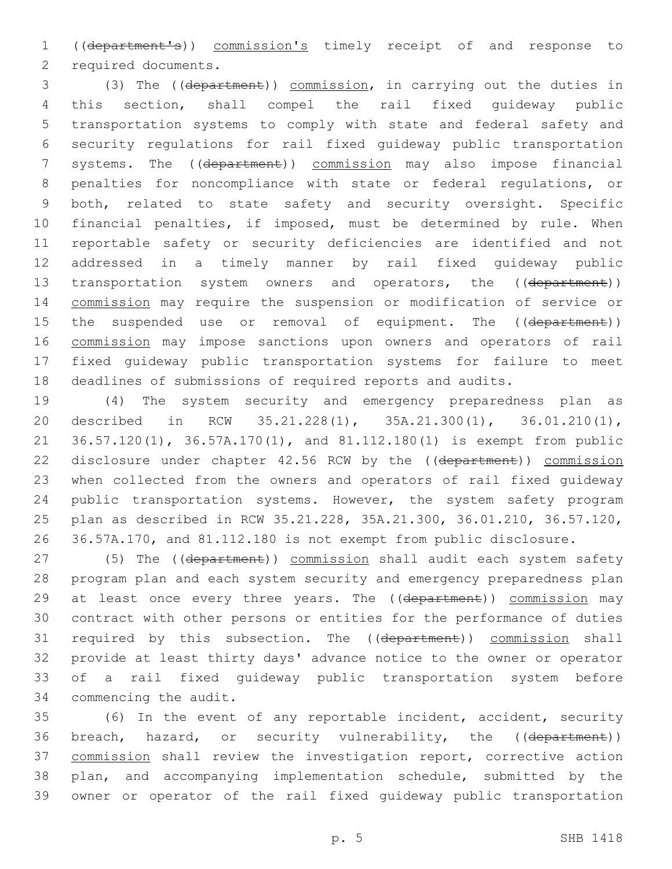((department's)) commission's timely receipt of and response to 2 required documents.

 (3) The ((department)) commission, in carrying out the duties in this section, shall compel the rail fixed guideway public transportation systems to comply with state and federal safety and security regulations for rail fixed guideway public transportation systems. The ((department)) commission may also impose financial penalties for noncompliance with state or federal regulations, or both, related to state safety and security oversight. Specific financial penalties, if imposed, must be determined by rule. When reportable safety or security deficiencies are identified and not addressed in a timely manner by rail fixed guideway public 13 transportation system owners and operators, the ((department)) commission may require the suspension or modification of service or 15 the suspended use or removal of equipment. The ((department)) commission may impose sanctions upon owners and operators of rail fixed guideway public transportation systems for failure to meet deadlines of submissions of required reports and audits.

 (4) The system security and emergency preparedness plan as described in RCW 35.21.228(1), 35A.21.300(1), 36.01.210(1), 36.57.120(1), 36.57A.170(1), and 81.112.180(1) is exempt from public 22 disclosure under chapter 42.56 RCW by the ((department)) commission when collected from the owners and operators of rail fixed guideway 24 public transportation systems. However, the system safety program plan as described in RCW 35.21.228, 35A.21.300, 36.01.210, 36.57.120, 36.57A.170, and 81.112.180 is not exempt from public disclosure.

27 (5) The ((department)) commission shall audit each system safety program plan and each system security and emergency preparedness plan 29 at least once every three years. The ((department)) commission may contract with other persons or entities for the performance of duties 31 required by this subsection. The ((department)) commission shall provide at least thirty days' advance notice to the owner or operator of a rail fixed guideway public transportation system before 34 commencing the audit.

 (6) In the event of any reportable incident, accident, security 36 breach, hazard, or security vulnerability, the ((department)) 37 commission shall review the investigation report, corrective action plan, and accompanying implementation schedule, submitted by the owner or operator of the rail fixed guideway public transportation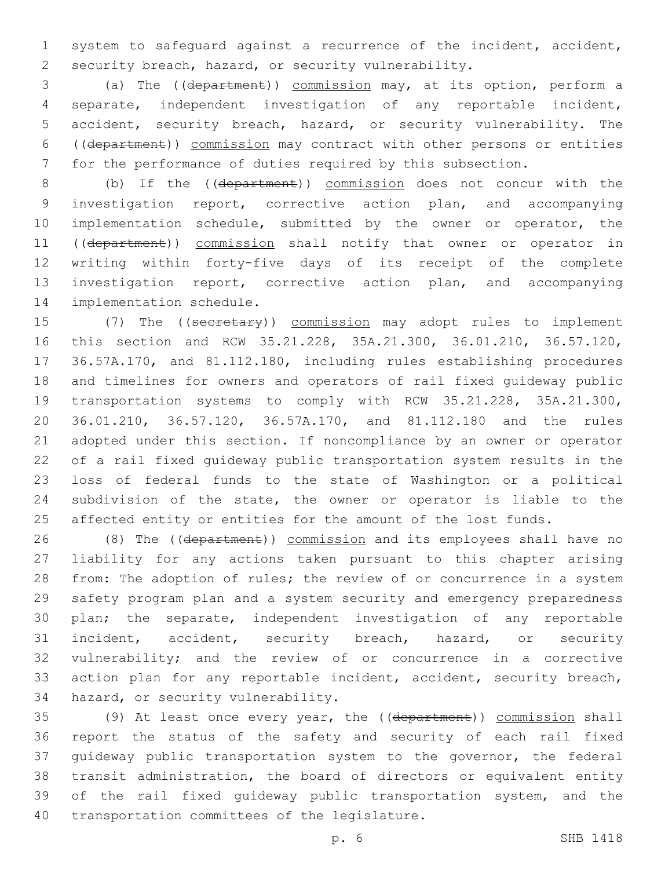system to safeguard against a recurrence of the incident, accident, security breach, hazard, or security vulnerability.

 (a) The ((department)) commission may, at its option, perform a separate, independent investigation of any reportable incident, accident, security breach, hazard, or security vulnerability. The ((department)) commission may contract with other persons or entities for the performance of duties required by this subsection.

 (b) If the ((department)) commission does not concur with the investigation report, corrective action plan, and accompanying implementation schedule, submitted by the owner or operator, the 11 ((department)) commission shall notify that owner or operator in writing within forty-five days of its receipt of the complete investigation report, corrective action plan, and accompanying 14 implementation schedule.

15 (7) The ((secretary)) commission may adopt rules to implement this section and RCW 35.21.228, 35A.21.300, 36.01.210, 36.57.120, 36.57A.170, and 81.112.180, including rules establishing procedures and timelines for owners and operators of rail fixed guideway public transportation systems to comply with RCW 35.21.228, 35A.21.300, 36.01.210, 36.57.120, 36.57A.170, and 81.112.180 and the rules adopted under this section. If noncompliance by an owner or operator of a rail fixed guideway public transportation system results in the loss of federal funds to the state of Washington or a political subdivision of the state, the owner or operator is liable to the 25 affected entity or entities for the amount of the lost funds.

26 (8) The ((department)) commission and its employees shall have no liability for any actions taken pursuant to this chapter arising 28 from: The adoption of rules; the review of or concurrence in a system safety program plan and a system security and emergency preparedness plan; the separate, independent investigation of any reportable incident, accident, security breach, hazard, or security vulnerability; and the review of or concurrence in a corrective action plan for any reportable incident, accident, security breach, 34 hazard, or security vulnerability.

 (9) At least once every year, the ((department)) commission shall report the status of the safety and security of each rail fixed guideway public transportation system to the governor, the federal transit administration, the board of directors or equivalent entity of the rail fixed guideway public transportation system, and the 40 transportation committees of the legislature.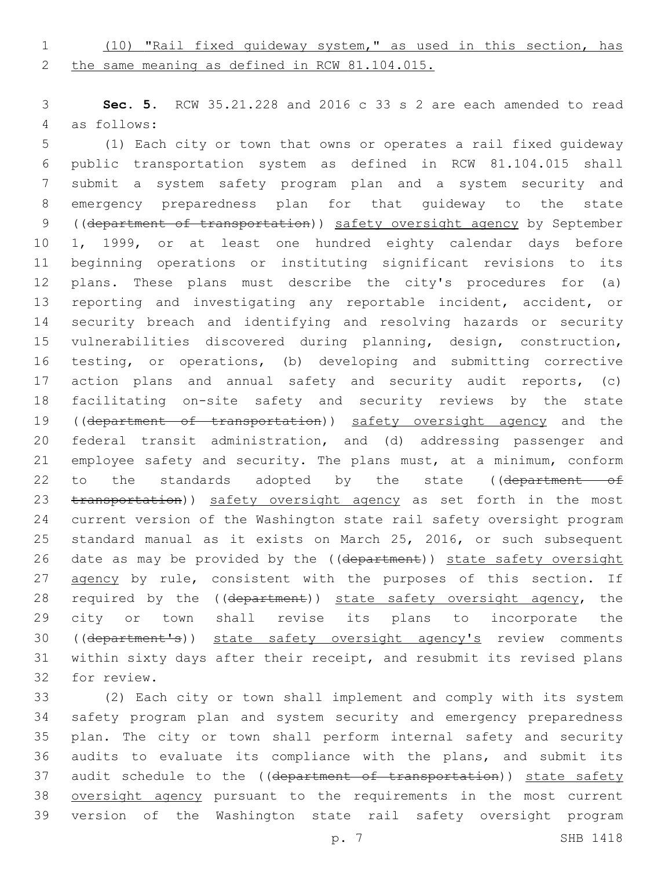## (10) "Rail fixed guideway system," as used in this section, has the same meaning as defined in RCW 81.104.015.

 **Sec. 5.** RCW 35.21.228 and 2016 c 33 s 2 are each amended to read as follows:4

 (1) Each city or town that owns or operates a rail fixed guideway public transportation system as defined in RCW 81.104.015 shall submit a system safety program plan and a system security and emergency preparedness plan for that guideway to the state ((department of transportation)) safety oversight agency by September 1, 1999, or at least one hundred eighty calendar days before beginning operations or instituting significant revisions to its plans. These plans must describe the city's procedures for (a) 13 reporting and investigating any reportable incident, accident, or security breach and identifying and resolving hazards or security vulnerabilities discovered during planning, design, construction, testing, or operations, (b) developing and submitting corrective 17 action plans and annual safety and security audit reports, (c) facilitating on-site safety and security reviews by the state 19 ((department of transportation)) safety oversight agency and the federal transit administration, and (d) addressing passenger and employee safety and security. The plans must, at a minimum, conform 22 to the standards adopted by the state ((department of 23 transportation)) safety oversight agency as set forth in the most current version of the Washington state rail safety oversight program standard manual as it exists on March 25, 2016, or such subsequent 26 date as may be provided by the ((department)) state safety oversight 27 agency by rule, consistent with the purposes of this section. If 28 required by the ((department)) state safety oversight agency, the city or town shall revise its plans to incorporate the 30 ((department's)) state safety oversight agency's review comments within sixty days after their receipt, and resubmit its revised plans 32 for review.

 (2) Each city or town shall implement and comply with its system safety program plan and system security and emergency preparedness plan. The city or town shall perform internal safety and security audits to evaluate its compliance with the plans, and submit its 37 audit schedule to the ((department of transportation)) state safety 38 oversight agency pursuant to the requirements in the most current version of the Washington state rail safety oversight program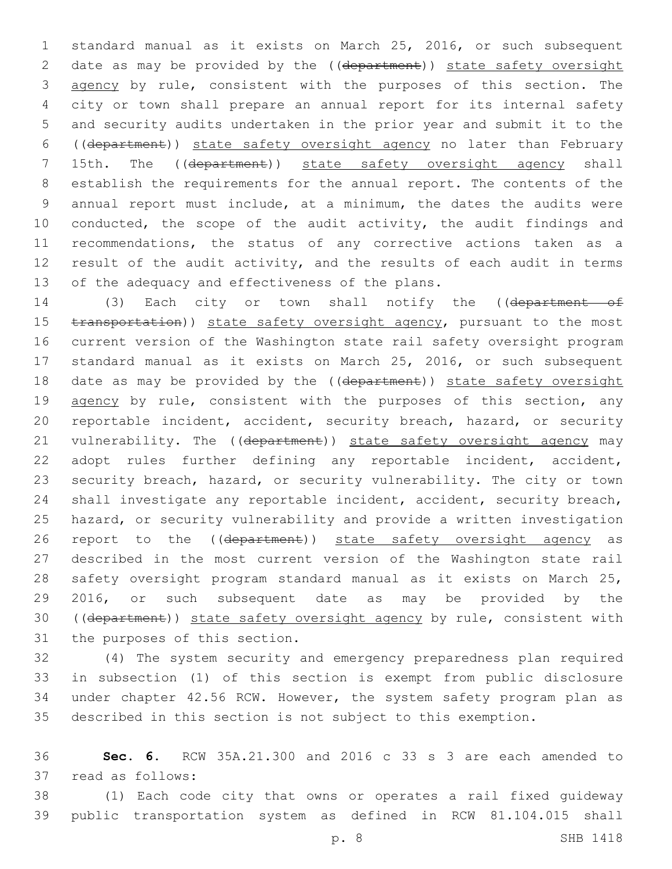standard manual as it exists on March 25, 2016, or such subsequent 2 date as may be provided by the ((department)) state safety oversight 3 agency by rule, consistent with the purposes of this section. The city or town shall prepare an annual report for its internal safety and security audits undertaken in the prior year and submit it to the ((department)) state safety oversight agency no later than February 15th. The ((department)) state safety oversight agency shall establish the requirements for the annual report. The contents of the annual report must include, at a minimum, the dates the audits were 10 conducted, the scope of the audit activity, the audit findings and recommendations, the status of any corrective actions taken as a result of the audit activity, and the results of each audit in terms 13 of the adequacy and effectiveness of the plans.

14 (3) Each city or town shall notify the ((department of 15 transportation)) state safety oversight agency, pursuant to the most current version of the Washington state rail safety oversight program standard manual as it exists on March 25, 2016, or such subsequent 18 date as may be provided by the ((department)) state safety oversight 19 agency by rule, consistent with the purposes of this section, any reportable incident, accident, security breach, hazard, or security 21 vulnerability. The ((department)) state safety oversight agency may adopt rules further defining any reportable incident, accident, security breach, hazard, or security vulnerability. The city or town shall investigate any reportable incident, accident, security breach, hazard, or security vulnerability and provide a written investigation 26 report to the ((department)) state safety oversight agency as described in the most current version of the Washington state rail safety oversight program standard manual as it exists on March 25, 2016, or such subsequent date as may be provided by the 30 ((department)) state safety oversight agency by rule, consistent with 31 the purposes of this section.

 (4) The system security and emergency preparedness plan required in subsection (1) of this section is exempt from public disclosure under chapter 42.56 RCW. However, the system safety program plan as described in this section is not subject to this exemption.

 **Sec. 6.** RCW 35A.21.300 and 2016 c 33 s 3 are each amended to 37 read as follows:

 (1) Each code city that owns or operates a rail fixed guideway public transportation system as defined in RCW 81.104.015 shall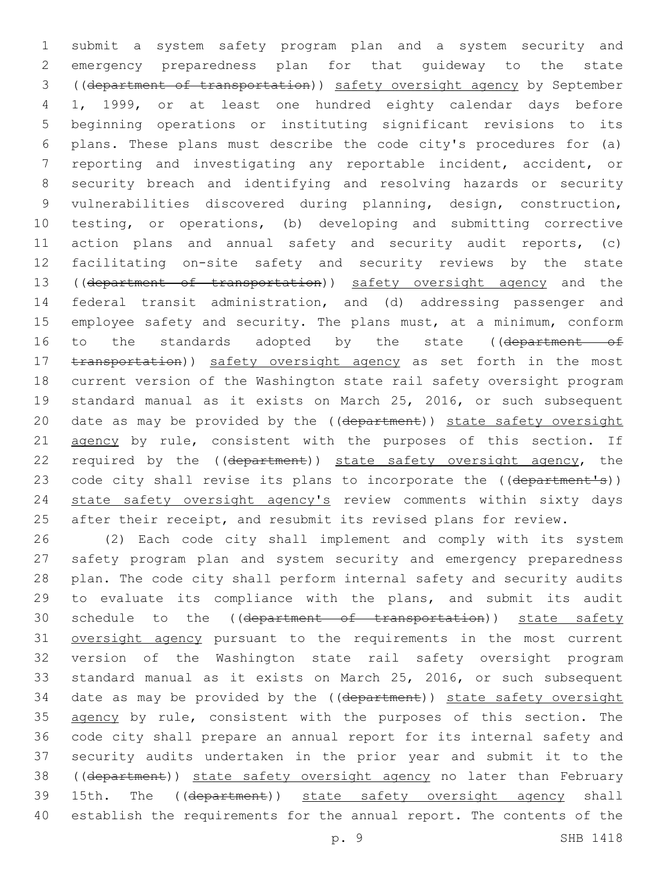1 submit a system safety program plan and a system security and 2 emergency preparedness plan for that guideway to the state 3 ((department of transportation)) safety oversight agency by September 4 1, 1999, or at least one hundred eighty calendar days before 5 beginning operations or instituting significant revisions to its 6 plans. These plans must describe the code city's procedures for (a) 7 reporting and investigating any reportable incident, accident, or 8 security breach and identifying and resolving hazards or security 9 vulnerabilities discovered during planning, design, construction, 10 testing, or operations, (b) developing and submitting corrective 11 action plans and annual safety and security audit reports, (c) 12 facilitating on-site safety and security reviews by the state 13 ((department of transportation)) safety oversight agency and the 14 federal transit administration, and (d) addressing passenger and 15 employee safety and security. The plans must, at a minimum, conform 16 to the standards adopted by the state ((department of 17 transportation)) safety oversight agency as set forth in the most 18 current version of the Washington state rail safety oversight program 19 standard manual as it exists on March 25, 2016, or such subsequent 20 date as may be provided by the ((department)) state safety oversight 21 agency by rule, consistent with the purposes of this section. If 22 required by the ((department)) state safety oversight agency, the 23 code city shall revise its plans to incorporate the ((department's)) 24 state safety oversight agency's review comments within sixty days 25 after their receipt, and resubmit its revised plans for review.

26 (2) Each code city shall implement and comply with its system 27 safety program plan and system security and emergency preparedness 28 plan. The code city shall perform internal safety and security audits 29 to evaluate its compliance with the plans, and submit its audit 30 schedule to the ((department of transportation)) state safety 31 oversight agency pursuant to the requirements in the most current 32 version of the Washington state rail safety oversight program 33 standard manual as it exists on March 25, 2016, or such subsequent 34 date as may be provided by the ((department)) state safety oversight 35 agency by rule, consistent with the purposes of this section. The 36 code city shall prepare an annual report for its internal safety and 37 security audits undertaken in the prior year and submit it to the 38 ((department)) state safety oversight agency no later than February 39 15th. The ((department)) state safety oversight agency shall 40 establish the requirements for the annual report. The contents of the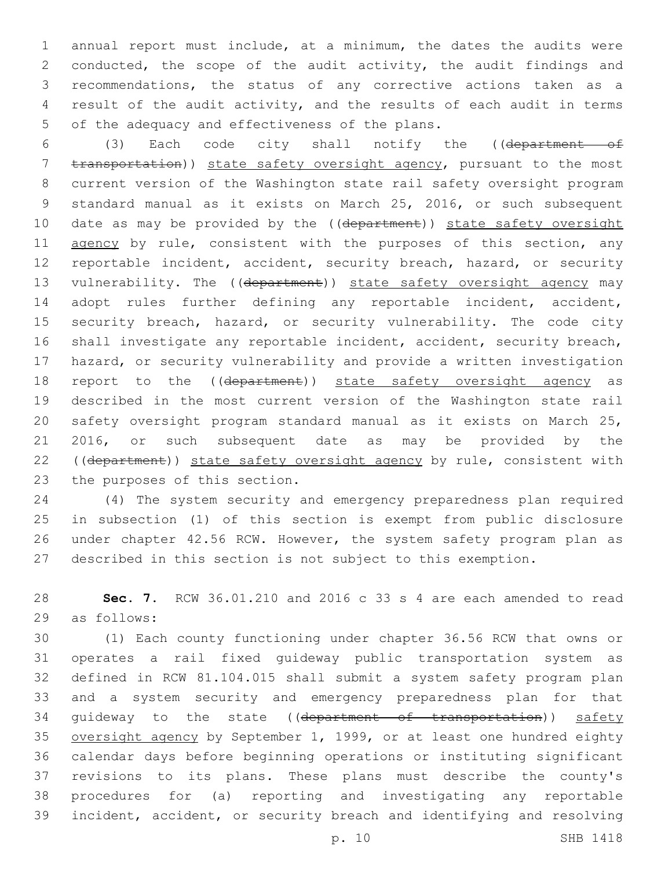annual report must include, at a minimum, the dates the audits were conducted, the scope of the audit activity, the audit findings and recommendations, the status of any corrective actions taken as a result of the audit activity, and the results of each audit in terms 5 of the adequacy and effectiveness of the plans.

 (3) Each code city shall notify the ((department of transportation)) state safety oversight agency, pursuant to the most current version of the Washington state rail safety oversight program standard manual as it exists on March 25, 2016, or such subsequent 10 date as may be provided by the ((department)) state safety oversight 11 agency by rule, consistent with the purposes of this section, any reportable incident, accident, security breach, hazard, or security 13 vulnerability. The ((department)) state safety oversight agency may adopt rules further defining any reportable incident, accident, 15 security breach, hazard, or security vulnerability. The code city shall investigate any reportable incident, accident, security breach, hazard, or security vulnerability and provide a written investigation 18 report to the ((department)) state safety oversight agency as described in the most current version of the Washington state rail safety oversight program standard manual as it exists on March 25, 2016, or such subsequent date as may be provided by the 22 ((department)) state safety oversight agency by rule, consistent with 23 the purposes of this section.

 (4) The system security and emergency preparedness plan required in subsection (1) of this section is exempt from public disclosure under chapter 42.56 RCW. However, the system safety program plan as described in this section is not subject to this exemption.

 **Sec. 7.** RCW 36.01.210 and 2016 c 33 s 4 are each amended to read 29 as follows:

 (1) Each county functioning under chapter 36.56 RCW that owns or operates a rail fixed guideway public transportation system as defined in RCW 81.104.015 shall submit a system safety program plan and a system security and emergency preparedness plan for that 34 quideway to the state ((department of transportation)) safety oversight agency by September 1, 1999, or at least one hundred eighty calendar days before beginning operations or instituting significant revisions to its plans. These plans must describe the county's procedures for (a) reporting and investigating any reportable incident, accident, or security breach and identifying and resolving

p. 10 SHB 1418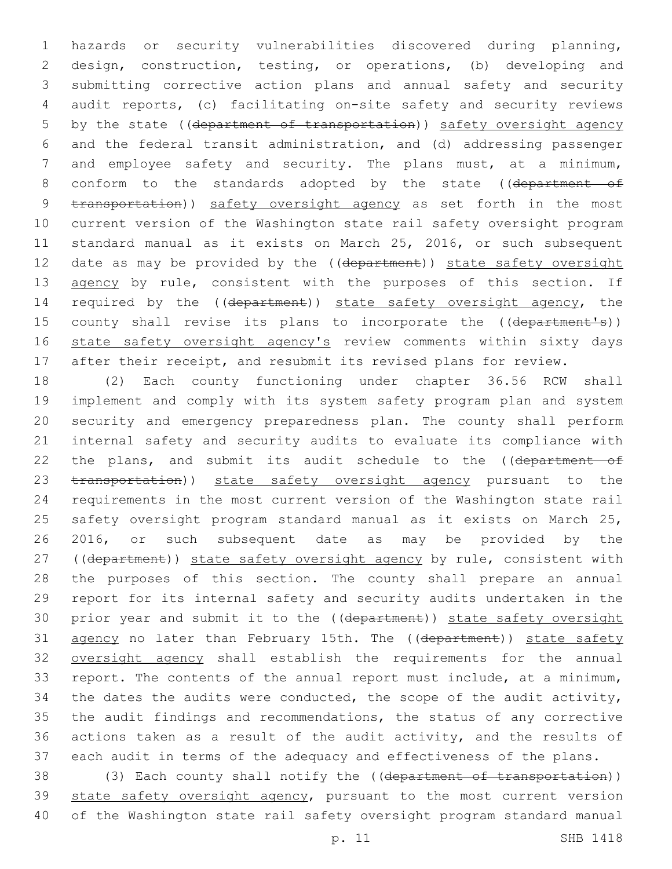1 hazards or security vulnerabilities discovered during planning, 2 design, construction, testing, or operations, (b) developing and 3 submitting corrective action plans and annual safety and security 4 audit reports, (c) facilitating on-site safety and security reviews 5 by the state ((department of transportation)) safety oversight agency 6 and the federal transit administration, and (d) addressing passenger 7 and employee safety and security. The plans must, at a minimum, 8 conform to the standards adopted by the state ((department of 9 transportation)) safety oversight agency as set forth in the most 10 current version of the Washington state rail safety oversight program 11 standard manual as it exists on March 25, 2016, or such subsequent 12 date as may be provided by the ((department)) state safety oversight 13 agency by rule, consistent with the purposes of this section. If 14 required by the ((department)) state safety oversight agency, the 15 county shall revise its plans to incorporate the ((department's)) 16 state safety oversight agency's review comments within sixty days 17 after their receipt, and resubmit its revised plans for review.

 (2) Each county functioning under chapter 36.56 RCW shall implement and comply with its system safety program plan and system security and emergency preparedness plan. The county shall perform internal safety and security audits to evaluate its compliance with 22 the plans, and submit its audit schedule to the ((department of 23 transportation)) state safety oversight agency pursuant to the requirements in the most current version of the Washington state rail safety oversight program standard manual as it exists on March 25, 2016, or such subsequent date as may be provided by the 27 ((department)) state safety oversight agency by rule, consistent with the purposes of this section. The county shall prepare an annual report for its internal safety and security audits undertaken in the 30 prior year and submit it to the ((department)) state safety oversight 31 agency no later than February 15th. The ((department)) state safety 32 oversight agency shall establish the requirements for the annual report. The contents of the annual report must include, at a minimum, the dates the audits were conducted, the scope of the audit activity, the audit findings and recommendations, the status of any corrective actions taken as a result of the audit activity, and the results of each audit in terms of the adequacy and effectiveness of the plans.

38 (3) Each county shall notify the ((department of transportation)) 39 state safety oversight agency, pursuant to the most current version 40 of the Washington state rail safety oversight program standard manual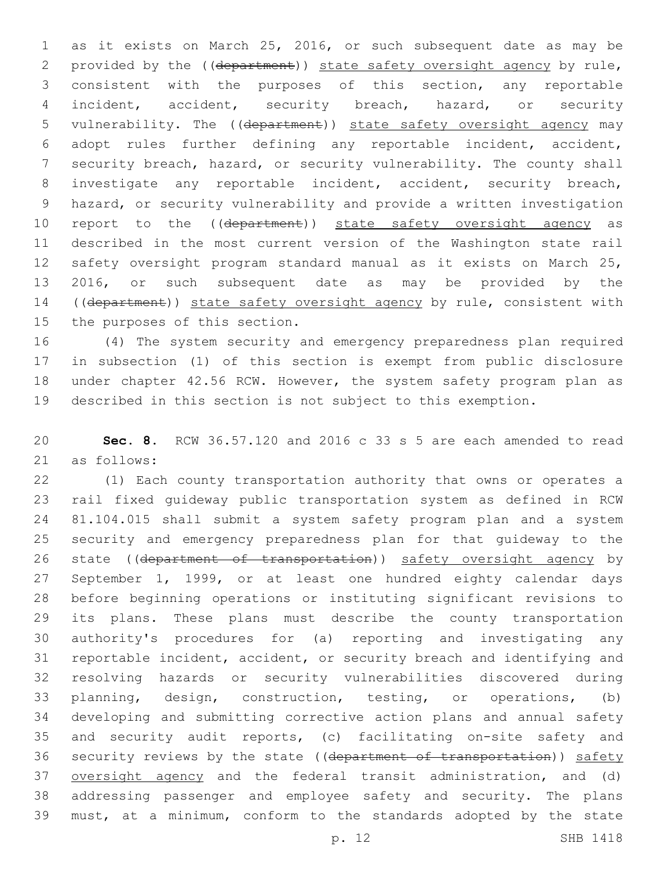as it exists on March 25, 2016, or such subsequent date as may be 2 provided by the ((department)) state safety oversight agency by rule, consistent with the purposes of this section, any reportable incident, accident, security breach, hazard, or security 5 vulnerability. The ((department)) state safety oversight agency may adopt rules further defining any reportable incident, accident, security breach, hazard, or security vulnerability. The county shall investigate any reportable incident, accident, security breach, hazard, or security vulnerability and provide a written investigation 10 report to the ((department)) state safety oversight agency as described in the most current version of the Washington state rail safety oversight program standard manual as it exists on March 25, 2016, or such subsequent date as may be provided by the 14 ((department)) state safety oversight agency by rule, consistent with 15 the purposes of this section.

 (4) The system security and emergency preparedness plan required in subsection (1) of this section is exempt from public disclosure under chapter 42.56 RCW. However, the system safety program plan as described in this section is not subject to this exemption.

 **Sec. 8.** RCW 36.57.120 and 2016 c 33 s 5 are each amended to read 21 as follows:

 (1) Each county transportation authority that owns or operates a rail fixed guideway public transportation system as defined in RCW 81.104.015 shall submit a system safety program plan and a system security and emergency preparedness plan for that guideway to the 26 state ((department of transportation)) safety oversight agency by September 1, 1999, or at least one hundred eighty calendar days before beginning operations or instituting significant revisions to its plans. These plans must describe the county transportation authority's procedures for (a) reporting and investigating any reportable incident, accident, or security breach and identifying and resolving hazards or security vulnerabilities discovered during planning, design, construction, testing, or operations, (b) developing and submitting corrective action plans and annual safety and security audit reports, (c) facilitating on-site safety and 36 security reviews by the state ((department of transportation)) safety oversight agency and the federal transit administration, and (d) addressing passenger and employee safety and security. The plans must, at a minimum, conform to the standards adopted by the state

p. 12 SHB 1418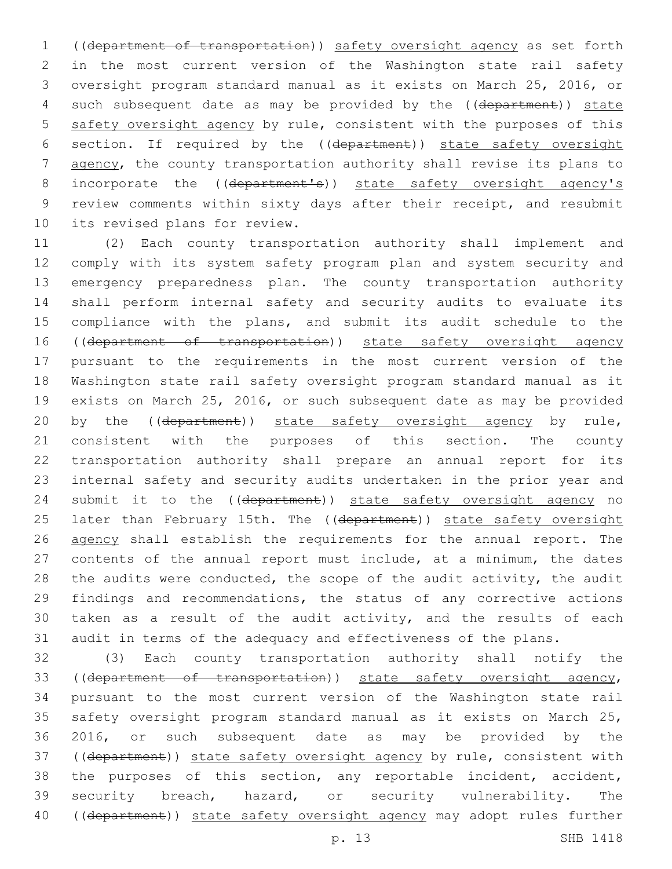((department of transportation)) safety oversight agency as set forth in the most current version of the Washington state rail safety oversight program standard manual as it exists on March 25, 2016, or 4 such subsequent date as may be provided by the ((department)) state safety oversight agency by rule, consistent with the purposes of this section. If required by the ((department)) state safety oversight agency, the county transportation authority shall revise its plans to 8 incorporate the ((department's)) state safety oversight agency's review comments within sixty days after their receipt, and resubmit 10 its revised plans for review.

 (2) Each county transportation authority shall implement and comply with its system safety program plan and system security and emergency preparedness plan. The county transportation authority shall perform internal safety and security audits to evaluate its compliance with the plans, and submit its audit schedule to the 16 ((department of transportation)) state safety oversight agency pursuant to the requirements in the most current version of the Washington state rail safety oversight program standard manual as it exists on March 25, 2016, or such subsequent date as may be provided 20 by the ((department)) state safety oversight agency by rule, consistent with the purposes of this section. The county transportation authority shall prepare an annual report for its internal safety and security audits undertaken in the prior year and 24 submit it to the ((department)) state safety oversight agency no 25 later than February 15th. The ((department)) state safety oversight 26 agency shall establish the requirements for the annual report. The contents of the annual report must include, at a minimum, the dates 28 the audits were conducted, the scope of the audit activity, the audit findings and recommendations, the status of any corrective actions taken as a result of the audit activity, and the results of each audit in terms of the adequacy and effectiveness of the plans.

 (3) Each county transportation authority shall notify the 33 ((department of transportation)) state safety oversight agency, pursuant to the most current version of the Washington state rail safety oversight program standard manual as it exists on March 25, 2016, or such subsequent date as may be provided by the 37 ((department)) state safety oversight agency by rule, consistent with the purposes of this section, any reportable incident, accident, security breach, hazard, or security vulnerability. The 40 ((department)) state safety oversight agency may adopt rules further

p. 13 SHB 1418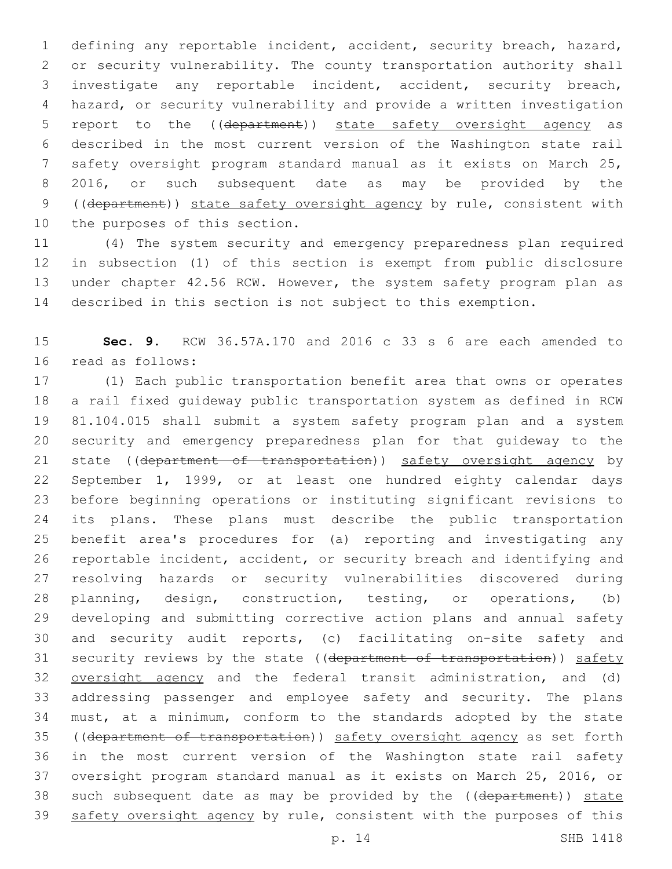defining any reportable incident, accident, security breach, hazard, or security vulnerability. The county transportation authority shall investigate any reportable incident, accident, security breach, hazard, or security vulnerability and provide a written investigation report to the ((department)) state safety oversight agency as described in the most current version of the Washington state rail safety oversight program standard manual as it exists on March 25, 2016, or such subsequent date as may be provided by the ((department)) state safety oversight agency by rule, consistent with 10 the purposes of this section.

 (4) The system security and emergency preparedness plan required in subsection (1) of this section is exempt from public disclosure under chapter 42.56 RCW. However, the system safety program plan as described in this section is not subject to this exemption.

 **Sec. 9.** RCW 36.57A.170 and 2016 c 33 s 6 are each amended to 16 read as follows:

 (1) Each public transportation benefit area that owns or operates a rail fixed guideway public transportation system as defined in RCW 81.104.015 shall submit a system safety program plan and a system security and emergency preparedness plan for that guideway to the 21 state ((department of transportation)) safety oversight agency by September 1, 1999, or at least one hundred eighty calendar days before beginning operations or instituting significant revisions to its plans. These plans must describe the public transportation benefit area's procedures for (a) reporting and investigating any reportable incident, accident, or security breach and identifying and resolving hazards or security vulnerabilities discovered during planning, design, construction, testing, or operations, (b) developing and submitting corrective action plans and annual safety and security audit reports, (c) facilitating on-site safety and 31 security reviews by the state ((department of transportation)) safety oversight agency and the federal transit administration, and (d) addressing passenger and employee safety and security. The plans must, at a minimum, conform to the standards adopted by the state 35 ((department of transportation)) safety oversight agency as set forth in the most current version of the Washington state rail safety oversight program standard manual as it exists on March 25, 2016, or 38 such subsequent date as may be provided by the ((department)) state 39 safety oversight agency by rule, consistent with the purposes of this

p. 14 SHB 1418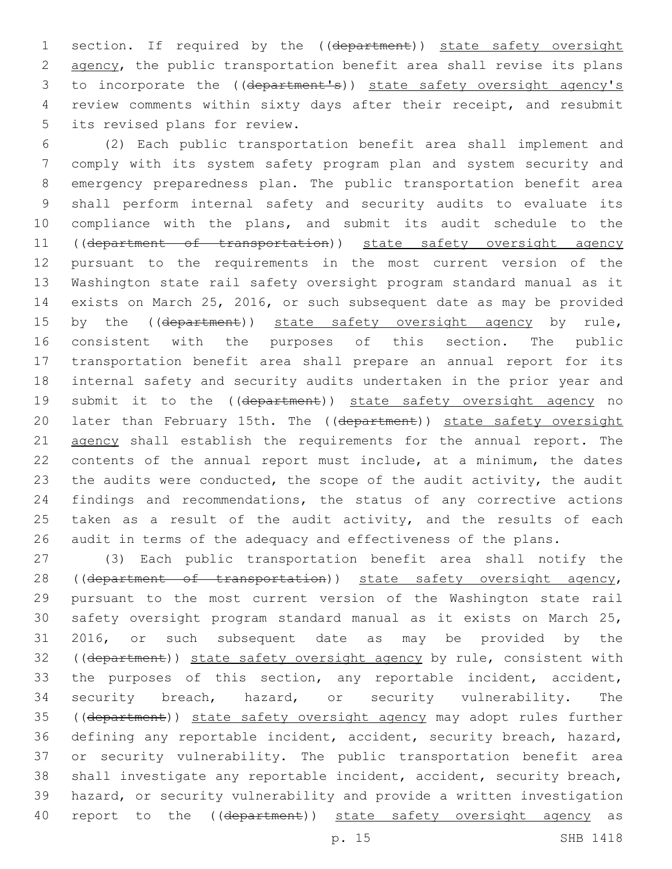1 section. If required by the ((department)) state safety oversight 2 agency, the public transportation benefit area shall revise its plans to incorporate the ((department's)) state safety oversight agency's review comments within sixty days after their receipt, and resubmit 5 its revised plans for review.

 (2) Each public transportation benefit area shall implement and comply with its system safety program plan and system security and emergency preparedness plan. The public transportation benefit area shall perform internal safety and security audits to evaluate its compliance with the plans, and submit its audit schedule to the 11 ((department of transportation)) state safety oversight agency pursuant to the requirements in the most current version of the Washington state rail safety oversight program standard manual as it exists on March 25, 2016, or such subsequent date as may be provided 15 by the ((department)) state safety oversight agency by rule, consistent with the purposes of this section. The public transportation benefit area shall prepare an annual report for its internal safety and security audits undertaken in the prior year and 19 submit it to the ((department)) state safety oversight agency no 20 later than February 15th. The ((department)) state safety oversight 21 agency shall establish the requirements for the annual report. The contents of the annual report must include, at a minimum, the dates the audits were conducted, the scope of the audit activity, the audit findings and recommendations, the status of any corrective actions 25 taken as a result of the audit activity, and the results of each audit in terms of the adequacy and effectiveness of the plans.

 (3) Each public transportation benefit area shall notify the 28 ((department of transportation)) state safety oversight agency, pursuant to the most current version of the Washington state rail safety oversight program standard manual as it exists on March 25, 2016, or such subsequent date as may be provided by the 32 ((department)) state safety oversight agency by rule, consistent with the purposes of this section, any reportable incident, accident, security breach, hazard, or security vulnerability. The 35 ((department)) state safety oversight agency may adopt rules further defining any reportable incident, accident, security breach, hazard, or security vulnerability. The public transportation benefit area shall investigate any reportable incident, accident, security breach, hazard, or security vulnerability and provide a written investigation 40 report to the ((department)) state safety oversight agency as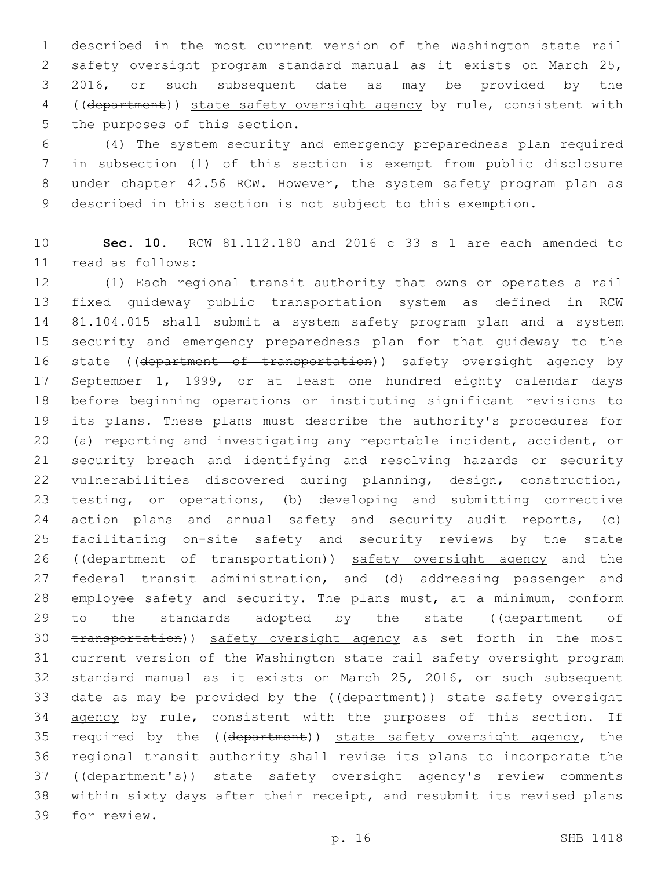described in the most current version of the Washington state rail safety oversight program standard manual as it exists on March 25, 2016, or such subsequent date as may be provided by the ((department)) state safety oversight agency by rule, consistent with 5 the purposes of this section.

 (4) The system security and emergency preparedness plan required in subsection (1) of this section is exempt from public disclosure under chapter 42.56 RCW. However, the system safety program plan as described in this section is not subject to this exemption.

 **Sec. 10.** RCW 81.112.180 and 2016 c 33 s 1 are each amended to 11 read as follows:

 (1) Each regional transit authority that owns or operates a rail fixed guideway public transportation system as defined in RCW 81.104.015 shall submit a system safety program plan and a system security and emergency preparedness plan for that guideway to the 16 state ((department of transportation)) safety oversight agency by September 1, 1999, or at least one hundred eighty calendar days before beginning operations or instituting significant revisions to its plans. These plans must describe the authority's procedures for (a) reporting and investigating any reportable incident, accident, or security breach and identifying and resolving hazards or security vulnerabilities discovered during planning, design, construction, testing, or operations, (b) developing and submitting corrective 24 action plans and annual safety and security audit reports, (c) facilitating on-site safety and security reviews by the state 26 ((department of transportation)) safety oversight agency and the federal transit administration, and (d) addressing passenger and employee safety and security. The plans must, at a minimum, conform 29 to the standards adopted by the state ((department of 30 transportation)) safety oversight agency as set forth in the most current version of the Washington state rail safety oversight program standard manual as it exists on March 25, 2016, or such subsequent 33 date as may be provided by the ((department)) state safety oversight 34 agency by rule, consistent with the purposes of this section. If 35 required by the ((department)) state safety oversight agency, the regional transit authority shall revise its plans to incorporate the 37 ((department's)) state safety oversight agency's review comments within sixty days after their receipt, and resubmit its revised plans 39 for review.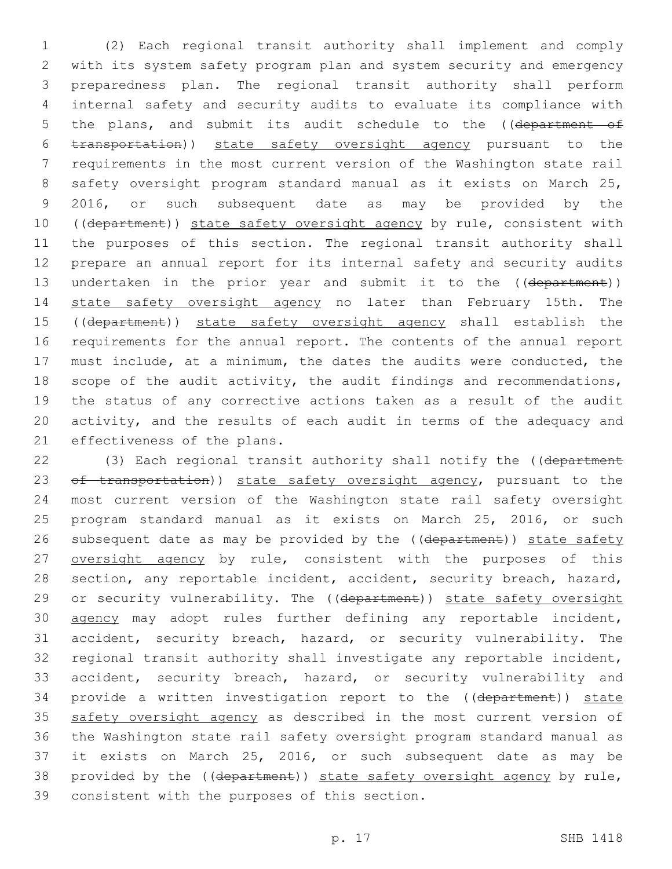(2) Each regional transit authority shall implement and comply with its system safety program plan and system security and emergency preparedness plan. The regional transit authority shall perform internal safety and security audits to evaluate its compliance with 5 the plans, and submit its audit schedule to the ((department of transportation)) state safety oversight agency pursuant to the requirements in the most current version of the Washington state rail safety oversight program standard manual as it exists on March 25, 2016, or such subsequent date as may be provided by the 10 ((department)) state safety oversight agency by rule, consistent with the purposes of this section. The regional transit authority shall prepare an annual report for its internal safety and security audits 13 undertaken in the prior year and submit it to the ((department)) 14 state safety oversight agency no later than February 15th. The 15 ((department)) state safety oversight agency shall establish the requirements for the annual report. The contents of the annual report must include, at a minimum, the dates the audits were conducted, the 18 scope of the audit activity, the audit findings and recommendations, the status of any corrective actions taken as a result of the audit activity, and the results of each audit in terms of the adequacy and 21 effectiveness of the plans.

22 (3) Each regional transit authority shall notify the ((department 23 of transportation)) state safety oversight agency, pursuant to the 24 most current version of the Washington state rail safety oversight 25 program standard manual as it exists on March 25, 2016, or such 26 subsequent date as may be provided by the ((department)) state safety 27 oversight agency by rule, consistent with the purposes of this 28 section, any reportable incident, accident, security breach, hazard, 29 or security vulnerability. The ((department)) state safety oversight 30 agency may adopt rules further defining any reportable incident, 31 accident, security breach, hazard, or security vulnerability. The 32 regional transit authority shall investigate any reportable incident, 33 accident, security breach, hazard, or security vulnerability and 34 provide a written investigation report to the ((department)) state 35 safety oversight agency as described in the most current version of 36 the Washington state rail safety oversight program standard manual as 37 it exists on March 25, 2016, or such subsequent date as may be 38 provided by the ((department)) state safety oversight agency by rule, 39 consistent with the purposes of this section.